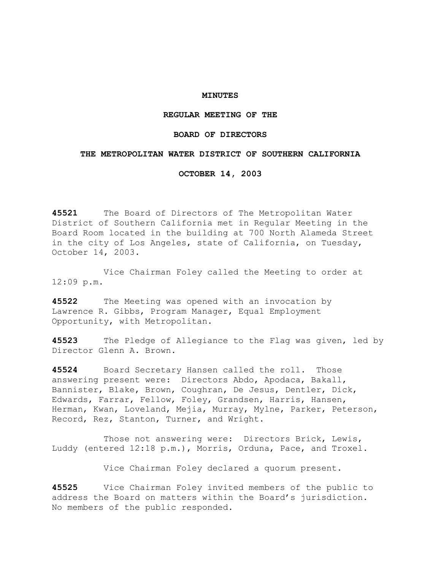### **MINUTES**

## **REGULAR MEETING OF THE**

## **BOARD OF DIRECTORS**

### **THE METROPOLITAN WATER DISTRICT OF SOUTHERN CALIFORNIA**

**OCTOBER 14, 2003** 

**45521** The Board of Directors of The Metropolitan Water District of Southern California met in Regular Meeting in the Board Room located in the building at 700 North Alameda Street in the city of Los Angeles, state of California, on Tuesday, October 14, 2003.

 Vice Chairman Foley called the Meeting to order at 12:09 p.m.

**45522** The Meeting was opened with an invocation by Lawrence R. Gibbs, Program Manager, Equal Employment Opportunity, with Metropolitan.

**45523** The Pledge of Allegiance to the Flag was given, led by Director Glenn A. Brown.

**45524** Board Secretary Hansen called the roll. Those answering present were: Directors Abdo, Apodaca, Bakall, Bannister, Blake, Brown, Coughran, De Jesus, Dentler, Dick, Edwards, Farrar, Fellow, Foley, Grandsen, Harris, Hansen, Herman, Kwan, Loveland, Mejia, Murray, Mylne, Parker, Peterson, Record, Rez, Stanton, Turner, and Wright.

 Those not answering were: Directors Brick, Lewis, Luddy (entered 12:18 p.m.), Morris, Orduna, Pace, and Troxel.

Vice Chairman Foley declared a quorum present.

**45525** Vice Chairman Foley invited members of the public to address the Board on matters within the Board's jurisdiction. No members of the public responded.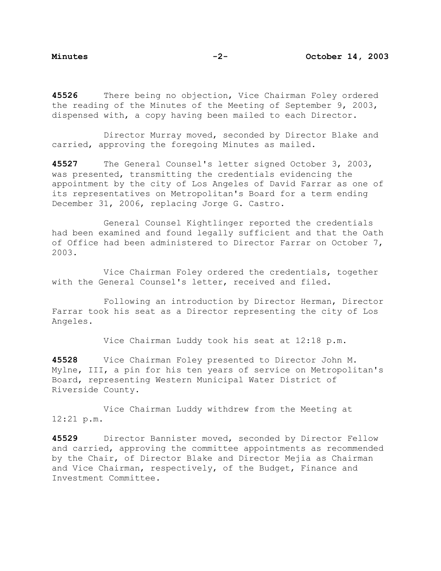**45526** There being no objection, Vice Chairman Foley ordered the reading of the Minutes of the Meeting of September 9, 2003, dispensed with, a copy having been mailed to each Director.

 Director Murray moved, seconded by Director Blake and carried, approving the foregoing Minutes as mailed.

**45527** The General Counsel's letter signed October 3, 2003, was presented, transmitting the credentials evidencing the appointment by the city of Los Angeles of David Farrar as one of its representatives on Metropolitan's Board for a term ending December 31, 2006, replacing Jorge G. Castro.

 General Counsel Kightlinger reported the credentials had been examined and found legally sufficient and that the Oath of Office had been administered to Director Farrar on October 7, 2003.

 Vice Chairman Foley ordered the credentials, together with the General Counsel's letter, received and filed.

 Following an introduction by Director Herman, Director Farrar took his seat as a Director representing the city of Los Angeles.

Vice Chairman Luddy took his seat at 12:18 p.m.

**45528** Vice Chairman Foley presented to Director John M. Mylne, III, a pin for his ten years of service on Metropolitan's Board, representing Western Municipal Water District of Riverside County.

 Vice Chairman Luddy withdrew from the Meeting at 12:21 p.m.

**45529** Director Bannister moved, seconded by Director Fellow and carried, approving the committee appointments as recommended by the Chair, of Director Blake and Director Mejia as Chairman and Vice Chairman, respectively, of the Budget, Finance and Investment Committee.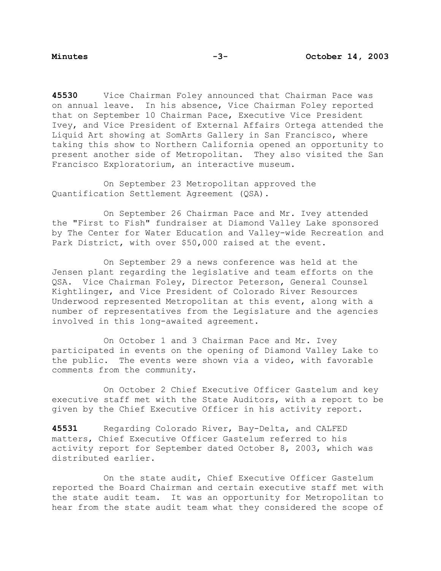**45530** Vice Chairman Foley announced that Chairman Pace was on annual leave. In his absence, Vice Chairman Foley reported that on September 10 Chairman Pace, Executive Vice President Ivey, and Vice President of External Affairs Ortega attended the Liquid Art showing at SomArts Gallery in San Francisco, where taking this show to Northern California opened an opportunity to present another side of Metropolitan. They also visited the San Francisco Exploratorium, an interactive museum.

 On September 23 Metropolitan approved the Quantification Settlement Agreement (QSA).

 On September 26 Chairman Pace and Mr. Ivey attended the "First to Fish" fundraiser at Diamond Valley Lake sponsored by The Center for Water Education and Valley-wide Recreation and Park District, with over \$50,000 raised at the event.

 On September 29 a news conference was held at the Jensen plant regarding the legislative and team efforts on the QSA. Vice Chairman Foley, Director Peterson, General Counsel Kightlinger, and Vice President of Colorado River Resources Underwood represented Metropolitan at this event, along with a number of representatives from the Legislature and the agencies involved in this long-awaited agreement.

 On October 1 and 3 Chairman Pace and Mr. Ivey participated in events on the opening of Diamond Valley Lake to the public. The events were shown via a video, with favorable comments from the community.

 On October 2 Chief Executive Officer Gastelum and key executive staff met with the State Auditors, with a report to be given by the Chief Executive Officer in his activity report.

**45531** Regarding Colorado River, Bay-Delta, and CALFED matters, Chief Executive Officer Gastelum referred to his activity report for September dated October 8, 2003, which was distributed earlier.

On the state audit, Chief Executive Officer Gastelum reported the Board Chairman and certain executive staff met with the state audit team. It was an opportunity for Metropolitan to hear from the state audit team what they considered the scope of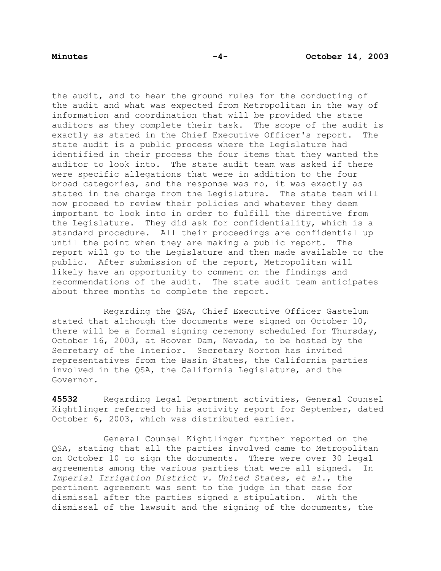the audit, and to hear the ground rules for the conducting of the audit and what was expected from Metropolitan in the way of information and coordination that will be provided the state auditors as they complete their task. The scope of the audit is exactly as stated in the Chief Executive Officer's report. The state audit is a public process where the Legislature had identified in their process the four items that they wanted the auditor to look into. The state audit team was asked if there were specific allegations that were in addition to the four broad categories, and the response was no, it was exactly as stated in the charge from the Legislature. The state team will now proceed to review their policies and whatever they deem important to look into in order to fulfill the directive from the Legislature. They did ask for confidentiality, which is a standard procedure. All their proceedings are confidential up until the point when they are making a public report. The report will go to the Legislature and then made available to the public. After submission of the report, Metropolitan will likely have an opportunity to comment on the findings and recommendations of the audit. The state audit team anticipates about three months to complete the report.

 Regarding the QSA, Chief Executive Officer Gastelum stated that although the documents were signed on October 10, there will be a formal signing ceremony scheduled for Thursday, October 16, 2003, at Hoover Dam, Nevada, to be hosted by the Secretary of the Interior. Secretary Norton has invited representatives from the Basin States, the California parties involved in the QSA, the California Legislature, and the Governor.

**45532** Regarding Legal Department activities, General Counsel Kightlinger referred to his activity report for September, dated October 6, 2003, which was distributed earlier.

 General Counsel Kightlinger further reported on the QSA, stating that all the parties involved came to Metropolitan on October 10 to sign the documents. There were over 30 legal agreements among the various parties that were all signed. In *Imperial Irrigation District v. United States, et al*., the pertinent agreement was sent to the judge in that case for dismissal after the parties signed a stipulation. With the dismissal of the lawsuit and the signing of the documents, the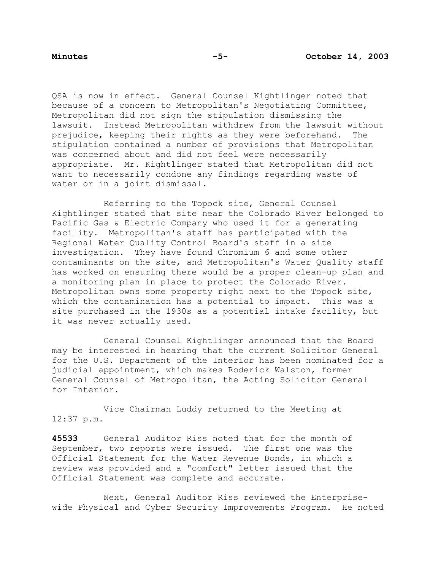QSA is now in effect. General Counsel Kightlinger noted that because of a concern to Metropolitan's Negotiating Committee, Metropolitan did not sign the stipulation dismissing the lawsuit. Instead Metropolitan withdrew from the lawsuit without prejudice, keeping their rights as they were beforehand. The stipulation contained a number of provisions that Metropolitan was concerned about and did not feel were necessarily appropriate. Mr. Kightlinger stated that Metropolitan did not want to necessarily condone any findings regarding waste of water or in a joint dismissal.

 Referring to the Topock site, General Counsel Kightlinger stated that site near the Colorado River belonged to Pacific Gas & Electric Company who used it for a generating facility. Metropolitan's staff has participated with the Regional Water Quality Control Board's staff in a site investigation. They have found Chromium 6 and some other contaminants on the site, and Metropolitan's Water Quality staff has worked on ensuring there would be a proper clean-up plan and a monitoring plan in place to protect the Colorado River. Metropolitan owns some property right next to the Topock site, which the contamination has a potential to impact. This was a site purchased in the 1930s as a potential intake facility, but it was never actually used.

 General Counsel Kightlinger announced that the Board may be interested in hearing that the current Solicitor General for the U.S. Department of the Interior has been nominated for a judicial appointment, which makes Roderick Walston, former General Counsel of Metropolitan, the Acting Solicitor General for Interior.

 Vice Chairman Luddy returned to the Meeting at 12:37 p.m.

**45533** General Auditor Riss noted that for the month of September, two reports were issued. The first one was the Official Statement for the Water Revenue Bonds, in which a review was provided and a "comfort" letter issued that the Official Statement was complete and accurate.

Next, General Auditor Riss reviewed the Enterprisewide Physical and Cyber Security Improvements Program. He noted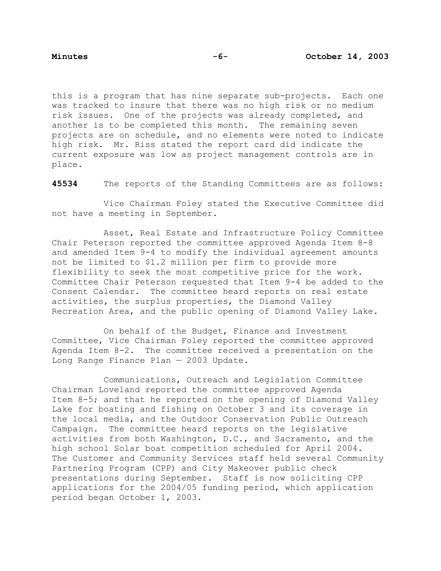this is a program that has nine separate sub-projects. Each one was tracked to insure that there was no high risk or no medium risk issues. One of the projects was already completed, and another is to be completed this month. The remaining seven projects are on schedule, and no elements were noted to indicate high risk. Mr. Riss stated the report card did indicate the current exposure was low as project management controls are in place.

**45534** The reports of the Standing Committees are as follows:

Vice Chairman Foley stated the Executive Committee did not have a meeting in September.

 Asset, Real Estate and Infrastructure Policy Committee Chair Peterson reported the committee approved Agenda Item 8-8 and amended Item 9-4 to modify the individual agreement amounts not be limited to \$1.2 million per firm to provide more flexibility to seek the most competitive price for the work. Committee Chair Peterson requested that Item 9-4 be added to the Consent Calendar. The committee heard reports on real estate activities, the surplus properties, the Diamond Valley Recreation Area, and the public opening of Diamond Valley Lake.

 On behalf of the Budget, Finance and Investment Committee, Vice Chairman Foley reported the committee approved Agenda Item 8-2. The committee received a presentation on the Long Range Finance Plan — 2003 Update.

 Communications, Outreach and Legislation Committee Chairman Loveland reported the committee approved Agenda Item 8-5; and that he reported on the opening of Diamond Valley Lake for boating and fishing on October 3 and its coverage in the local media, and the Outdoor Conservation Public Outreach Campaign. The committee heard reports on the legislative activities from both Washington, D.C., and Sacramento, and the high school Solar boat competition scheduled for April 2004. The Customer and Community Services staff held several Community Partnering Program (CPP) and City Makeover public check presentations during September. Staff is now soliciting CPP applications for the 2004/05 funding period, which application period began October 1, 2003.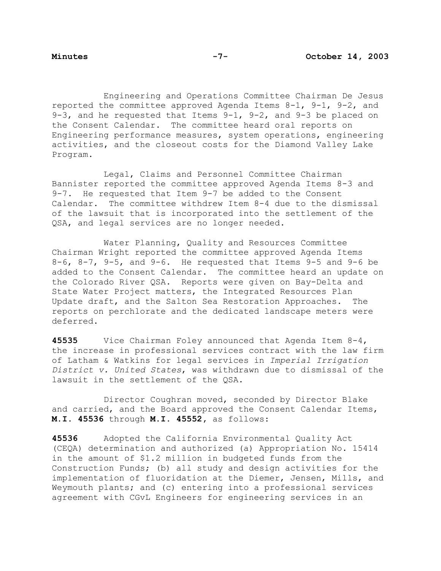Engineering and Operations Committee Chairman De Jesus reported the committee approved Agenda Items 8-1, 9-1, 9-2, and 9-3, and he requested that Items 9-1, 9-2, and 9-3 be placed on the Consent Calendar. The committee heard oral reports on Engineering performance measures, system operations, engineering activities, and the closeout costs for the Diamond Valley Lake Program.

 Legal, Claims and Personnel Committee Chairman Bannister reported the committee approved Agenda Items 8-3 and 9-7. He requested that Item 9-7 be added to the Consent Calendar. The committee withdrew Item 8-4 due to the dismissal of the lawsuit that is incorporated into the settlement of the OSA, and legal services are no longer needed.

 Water Planning, Quality and Resources Committee Chairman Wright reported the committee approved Agenda Items  $8-6$ ,  $8-7$ ,  $9-5$ , and  $9-6$ . He requested that Items  $9-5$  and  $9-6$  be added to the Consent Calendar. The committee heard an update on the Colorado River QSA. Reports were given on Bay-Delta and State Water Project matters, the Integrated Resources Plan Update draft, and the Salton Sea Restoration Approaches. The reports on perchlorate and the dedicated landscape meters were deferred.

**45535** Vice Chairman Foley announced that Agenda Item 8-4, the increase in professional services contract with the law firm of Latham & Watkins for legal services in *Imperial Irrigation District v. United States*, was withdrawn due to dismissal of the lawsuit in the settlement of the OSA.

 Director Coughran moved, seconded by Director Blake and carried, and the Board approved the Consent Calendar Items, **M.I. 45536** through **M.I. 45552,** as follows:

**45536** Adopted the California Environmental Quality Act (CEQA) determination and authorized (a) Appropriation No. 15414 in the amount of \$1.2 million in budgeted funds from the Construction Funds; (b) all study and design activities for the implementation of fluoridation at the Diemer, Jensen, Mills, and Weymouth plants; and (c) entering into a professional services agreement with CGvL Engineers for engineering services in an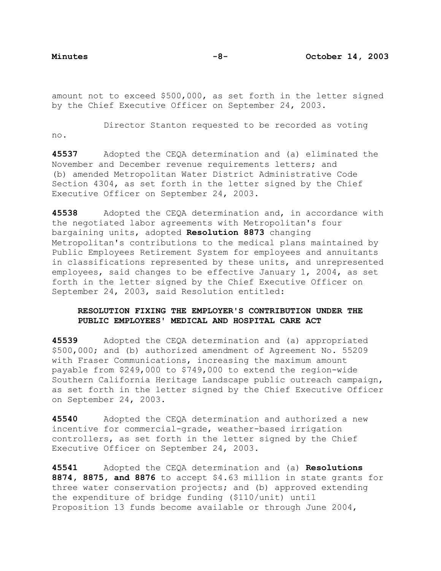amount not to exceed \$500,000, as set forth in the letter signed by the Chief Executive Officer on September 24, 2003.

 Director Stanton requested to be recorded as voting no.

**45537** Adopted the CEQA determination and (a) eliminated the November and December revenue requirements letters; and (b) amended Metropolitan Water District Administrative Code Section 4304, as set forth in the letter signed by the Chief Executive Officer on September 24, 2003.

**45538** Adopted the CEQA determination and, in accordance with the negotiated labor agreements with Metropolitan's four bargaining units, adopted **Resolution 8873** changing Metropolitan's contributions to the medical plans maintained by Public Employees Retirement System for employees and annuitants in classifications represented by these units, and unrepresented employees, said changes to be effective January 1, 2004, as set forth in the letter signed by the Chief Executive Officer on September 24, 2003, said Resolution entitled:

## **RESOLUTION FIXING THE EMPLOYER'S CONTRIBUTION UNDER THE PUBLIC EMPLOYEES' MEDICAL AND HOSPITAL CARE ACT**

**45539** Adopted the CEQA determination and (a) appropriated \$500,000; and (b) authorized amendment of Agreement No. 55209 with Fraser Communications, increasing the maximum amount payable from \$249,000 to \$749,000 to extend the region-wide Southern California Heritage Landscape public outreach campaign, as set forth in the letter signed by the Chief Executive Officer on September 24, 2003.

**45540** Adopted the CEQA determination and authorized a new incentive for commercial-grade, weather-based irrigation controllers, as set forth in the letter signed by the Chief Executive Officer on September 24, 2003.

**45541** Adopted the CEQA determination and (a) **Resolutions 8874, 8875, and 8876** to accept \$4.63 million in state grants for three water conservation projects; and (b) approved extending the expenditure of bridge funding (\$110/unit) until Proposition 13 funds become available or through June 2004,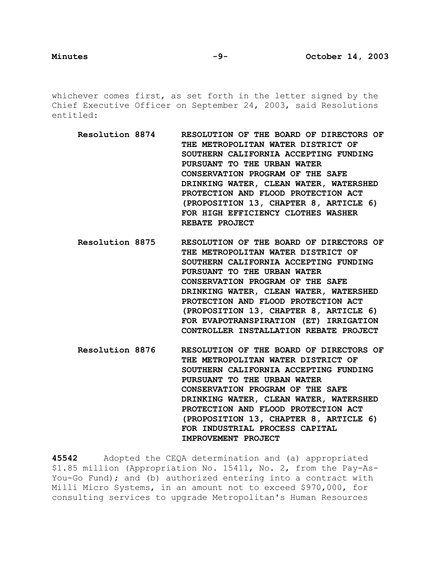whichever comes first, as set forth in the letter signed by the Chief Executive Officer on September 24, 2003, said Resolutions entitled:

- **Resolution 8874 RESOLUTION OF THE BOARD OF DIRECTORS OF THE METROPOLITAN WATER DISTRICT OF SOUTHERN CALIFORNIA ACCEPTING FUNDING PURSUANT TO THE URBAN WATER CONSERVATION PROGRAM OF THE SAFE DRINKING WATER, CLEAN WATER, WATERSHED PROTECTION AND FLOOD PROTECTION ACT (PROPOSITION 13, CHAPTER 8, ARTICLE 6) FOR HIGH EFFICIENCY CLOTHES WASHER REBATE PROJECT**
- **Resolution 8875 RESOLUTION OF THE BOARD OF DIRECTORS OF THE METROPOLITAN WATER DISTRICT OF SOUTHERN CALIFORNIA ACCEPTING FUNDING PURSUANT TO THE URBAN WATER CONSERVATION PROGRAM OF THE SAFE DRINKING WATER, CLEAN WATER, WATERSHED PROTECTION AND FLOOD PROTECTION ACT (PROPOSITION 13, CHAPTER 8, ARTICLE 6) FOR EVAPOTRANSPIRATION (ET) IRRIGATION CONTROLLER INSTALLATION REBATE PROJECT**
- **Resolution 8876 RESOLUTION OF THE BOARD OF DIRECTORS OF THE METROPOLITAN WATER DISTRICT OF SOUTHERN CALIFORNIA ACCEPTING FUNDING PURSUANT TO THE URBAN WATER CONSERVATION PROGRAM OF THE SAFE DRINKING WATER, CLEAN WATER, WATERSHED PROTECTION AND FLOOD PROTECTION ACT (PROPOSITION 13, CHAPTER 8, ARTICLE 6) FOR INDUSTRIAL PROCESS CAPITAL IMPROVEMENT PROJECT**

**45542** Adopted the CEQA determination and (a) appropriated \$1.85 million (Appropriation No. 15411, No. 2, from the Pay-As-You-Go Fund); and (b) authorized entering into a contract with Milli Micro Systems, in an amount not to exceed \$970,000, for consulting services to upgrade Metropolitan's Human Resources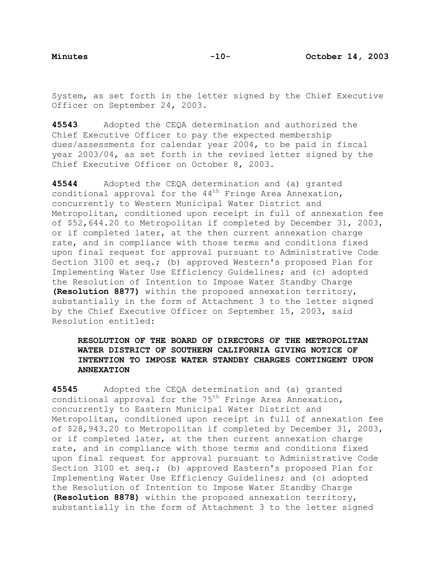System, as set forth in the letter signed by the Chief Executive Officer on September 24, 2003.

**45543** Adopted the CEQA determination and authorized the Chief Executive Officer to pay the expected membership dues/assessments for calendar year 2004, to be paid in fiscal year 2003/04, as set forth in the revised letter signed by the Chief Executive Officer on October 8, 2003.

**45544** Adopted the CEQA determination and (a) granted conditional approval for the  $44<sup>th</sup>$  Fringe Area Annexation, concurrently to Western Municipal Water District and Metropolitan, conditioned upon receipt in full of annexation fee of \$52,644.20 to Metropolitan if completed by December 31, 2003, or if completed later, at the then current annexation charge rate, and in compliance with those terms and conditions fixed upon final request for approval pursuant to Administrative Code Section 3100 et seq.; (b) approved Western's proposed Plan for Implementing Water Use Efficiency Guidelines; and (c) adopted the Resolution of Intention to Impose Water Standby Charge **(Resolution 8877)** within the proposed annexation territory, substantially in the form of Attachment 3 to the letter signed by the Chief Executive Officer on September 15, 2003, said Resolution entitled:

# **RESOLUTION OF THE BOARD OF DIRECTORS OF THE METROPOLITAN WATER DISTRICT OF SOUTHERN CALIFORNIA GIVING NOTICE OF INTENTION TO IMPOSE WATER STANDBY CHARGES CONTINGENT UPON ANNEXATION**

**45545** Adopted the CEQA determination and (a) granted conditional approval for the  $75<sup>th</sup>$  Fringe Area Annexation, concurrently to Eastern Municipal Water District and Metropolitan, conditioned upon receipt in full of annexation fee of \$28,943.20 to Metropolitan if completed by December 31, 2003, or if completed later, at the then current annexation charge rate, and in compliance with those terms and conditions fixed upon final request for approval pursuant to Administrative Code Section 3100 et seq.; (b) approved Eastern's proposed Plan for Implementing Water Use Efficiency Guidelines; and (c) adopted the Resolution of Intention to Impose Water Standby Charge **(Resolution 8878)** within the proposed annexation territory, substantially in the form of Attachment 3 to the letter signed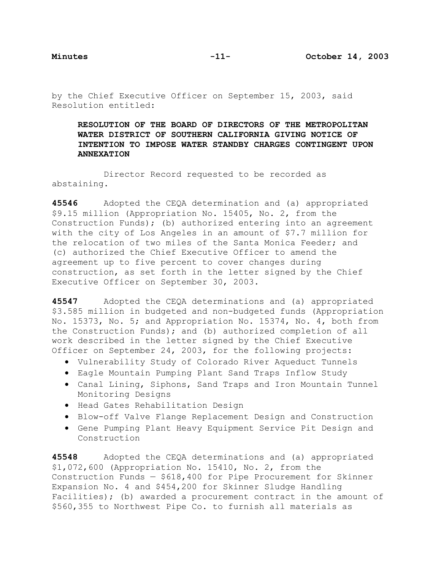by the Chief Executive Officer on September 15, 2003, said Resolution entitled:

**RESOLUTION OF THE BOARD OF DIRECTORS OF THE METROPOLITAN WATER DISTRICT OF SOUTHERN CALIFORNIA GIVING NOTICE OF INTENTION TO IMPOSE WATER STANDBY CHARGES CONTINGENT UPON ANNEXATION**

 Director Record requested to be recorded as abstaining.

**45546** Adopted the CEQA determination and (a) appropriated \$9.15 million (Appropriation No. 15405, No. 2, from the Construction Funds); (b) authorized entering into an agreement with the city of Los Angeles in an amount of \$7.7 million for the relocation of two miles of the Santa Monica Feeder; and (c) authorized the Chief Executive Officer to amend the agreement up to five percent to cover changes during construction, as set forth in the letter signed by the Chief Executive Officer on September 30, 2003.

**45547** Adopted the CEQA determinations and (a) appropriated \$3.585 million in budgeted and non-budgeted funds (Appropriation No. 15373, No. 5; and Appropriation No. 15374, No. 4, both from the Construction Funds); and (b) authorized completion of all work described in the letter signed by the Chief Executive Officer on September 24, 2003, for the following projects:

- Vulnerability Study of Colorado River Aqueduct Tunnels
- Eagle Mountain Pumping Plant Sand Traps Inflow Study
- Canal Lining, Siphons, Sand Traps and Iron Mountain Tunnel Monitoring Designs
- Head Gates Rehabilitation Design
- Blow-off Valve Flange Replacement Design and Construction
- Gene Pumping Plant Heavy Equipment Service Pit Design and Construction

**45548** Adopted the CEQA determinations and (a) appropriated \$1,072,600 (Appropriation No. 15410, No. 2, from the Construction Funds — \$618,400 for Pipe Procurement for Skinner Expansion No. 4 and \$454,200 for Skinner Sludge Handling Facilities); (b) awarded a procurement contract in the amount of \$560,355 to Northwest Pipe Co. to furnish all materials as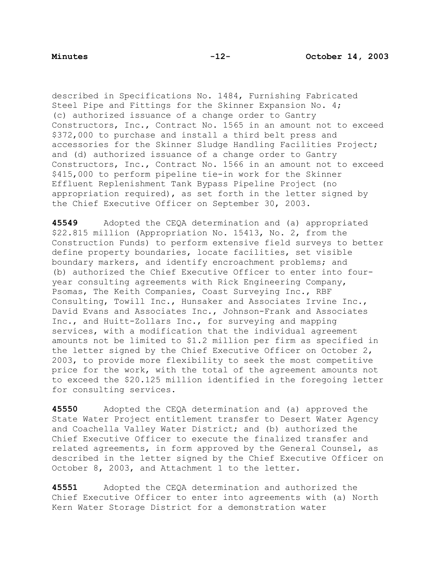described in Specifications No. 1484, Furnishing Fabricated Steel Pipe and Fittings for the Skinner Expansion No. 4; (c) authorized issuance of a change order to Gantry Constructors, Inc., Contract No. 1565 in an amount not to exceed \$372,000 to purchase and install a third belt press and accessories for the Skinner Sludge Handling Facilities Project; and (d) authorized issuance of a change order to Gantry Constructors, Inc., Contract No. 1566 in an amount not to exceed \$415,000 to perform pipeline tie-in work for the Skinner Effluent Replenishment Tank Bypass Pipeline Project (no appropriation required), as set forth in the letter signed by the Chief Executive Officer on September 30, 2003.

**45549** Adopted the CEQA determination and (a) appropriated \$22.815 million (Appropriation No. 15413, No. 2, from the Construction Funds) to perform extensive field surveys to better define property boundaries, locate facilities, set visible boundary markers, and identify encroachment problems; and (b) authorized the Chief Executive Officer to enter into fouryear consulting agreements with Rick Engineering Company, Psomas, The Keith Companies, Coast Surveying Inc., RBF Consulting, Towill Inc., Hunsaker and Associates Irvine Inc., David Evans and Associates Inc., Johnson-Frank and Associates Inc., and Huitt-Zollars Inc., for surveying and mapping services, with a modification that the individual agreement amounts not be limited to \$1.2 million per firm as specified in the letter signed by the Chief Executive Officer on October 2, 2003, to provide more flexibility to seek the most competitive price for the work, with the total of the agreement amounts not to exceed the \$20.125 million identified in the foregoing letter for consulting services.

**45550** Adopted the CEQA determination and (a) approved the State Water Project entitlement transfer to Desert Water Agency and Coachella Valley Water District; and (b) authorized the Chief Executive Officer to execute the finalized transfer and related agreements, in form approved by the General Counsel, as described in the letter signed by the Chief Executive Officer on October 8, 2003, and Attachment 1 to the letter.

**45551** Adopted the CEQA determination and authorized the Chief Executive Officer to enter into agreements with (a) North Kern Water Storage District for a demonstration water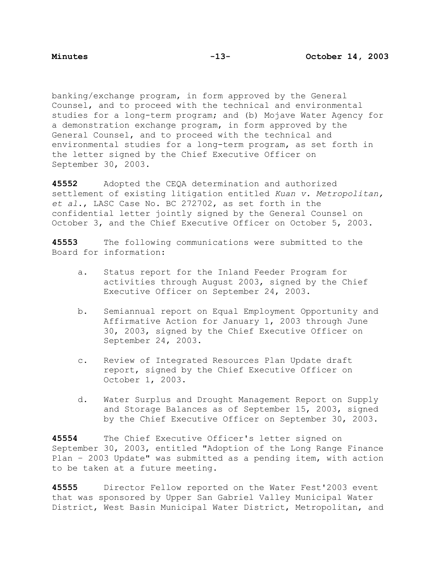banking/exchange program, in form approved by the General Counsel, and to proceed with the technical and environmental studies for a long-term program; and (b) Mojave Water Agency for a demonstration exchange program, in form approved by the General Counsel, and to proceed with the technical and environmental studies for a long-term program, as set forth in the letter signed by the Chief Executive Officer on September 30, 2003.

**45552** Adopted the CEQA determination and authorized settlement of existing litigation entitled *Kuan v. Metropolitan, et al*., LASC Case No. BC 272702, as set forth in the confidential letter jointly signed by the General Counsel on October 3, and the Chief Executive Officer on October 5, 2003.

**45553** The following communications were submitted to the Board for information:

- a. Status report for the Inland Feeder Program for activities through August 2003, signed by the Chief Executive Officer on September 24, 2003.
- b. Semiannual report on Equal Employment Opportunity and Affirmative Action for January 1, 2003 through June 30, 2003, signed by the Chief Executive Officer on September 24, 2003.
- c. Review of Integrated Resources Plan Update draft report, signed by the Chief Executive Officer on October 1, 2003.
- d. Water Surplus and Drought Management Report on Supply and Storage Balances as of September 15, 2003, signed by the Chief Executive Officer on September 30, 2003.

**45554** The Chief Executive Officer's letter signed on September 30, 2003, entitled "Adoption of the Long Range Finance Plan – 2003 Update" was submitted as a pending item, with action to be taken at a future meeting.

**45555** Director Fellow reported on the Water Fest'2003 event that was sponsored by Upper San Gabriel Valley Municipal Water District, West Basin Municipal Water District, Metropolitan, and